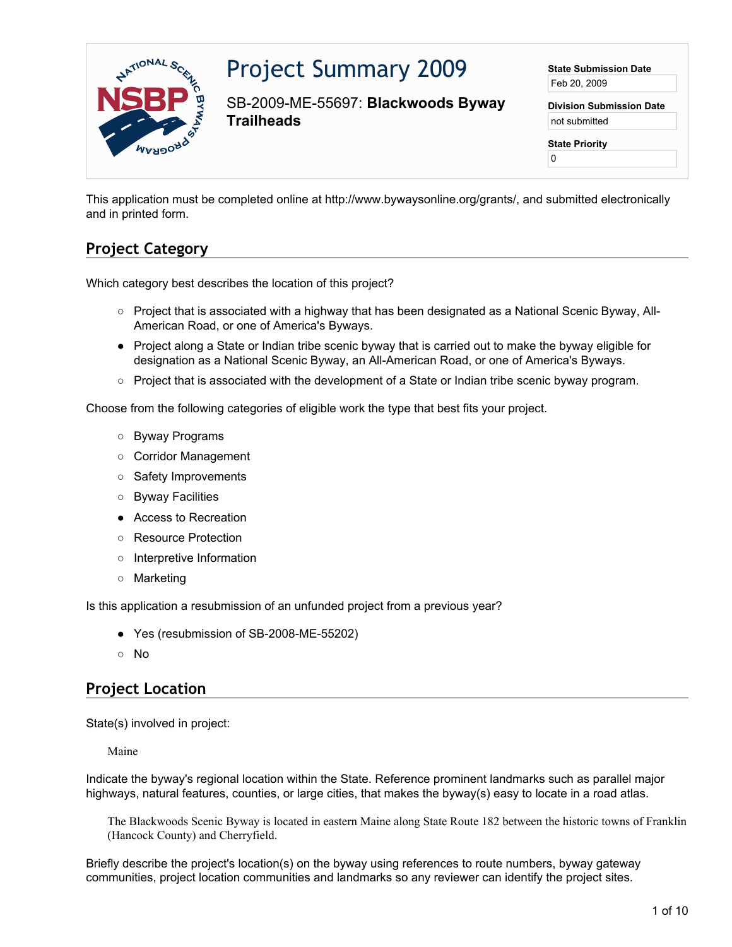

# Project Summary 2009

SB-2009-ME-55697: **Blackwoods Byway Trailheads**

**State Submission Date** Feb 20, 2009

**Division Submission Date** not submitted

**State Priority**

0

This application must be completed online at http://www.bywaysonline.org/grants/, and submitted electronically and in printed form.

## **Project Category**

Which category best describes the location of this project?

- Project that is associated with a highway that has been designated as a National Scenic Byway, All-American Road, or one of America's Byways.
- Project along a State or Indian tribe scenic byway that is carried out to make the byway eligible for designation as a National Scenic Byway, an All-American Road, or one of America's Byways.
- Project that is associated with the development of a State or Indian tribe scenic byway program.

Choose from the following categories of eligible work the type that best fits your project.

- Byway Programs
- Corridor Management
- Safety Improvements
- Byway Facilities
- Access to Recreation
- Resource Protection
- Interpretive Information
- Marketing

Is this application a resubmission of an unfunded project from a previous year?

- Yes (resubmission of SB-2008-ME-55202)
- No

## **Project Location**

State(s) involved in project:

Maine

Indicate the byway's regional location within the State. Reference prominent landmarks such as parallel major highways, natural features, counties, or large cities, that makes the byway(s) easy to locate in a road atlas.

The Blackwoods Scenic Byway is located in eastern Maine along State Route 182 between the historic towns of Franklin (Hancock County) and Cherryfield.

Briefly describe the project's location(s) on the byway using references to route numbers, byway gateway communities, project location communities and landmarks so any reviewer can identify the project sites.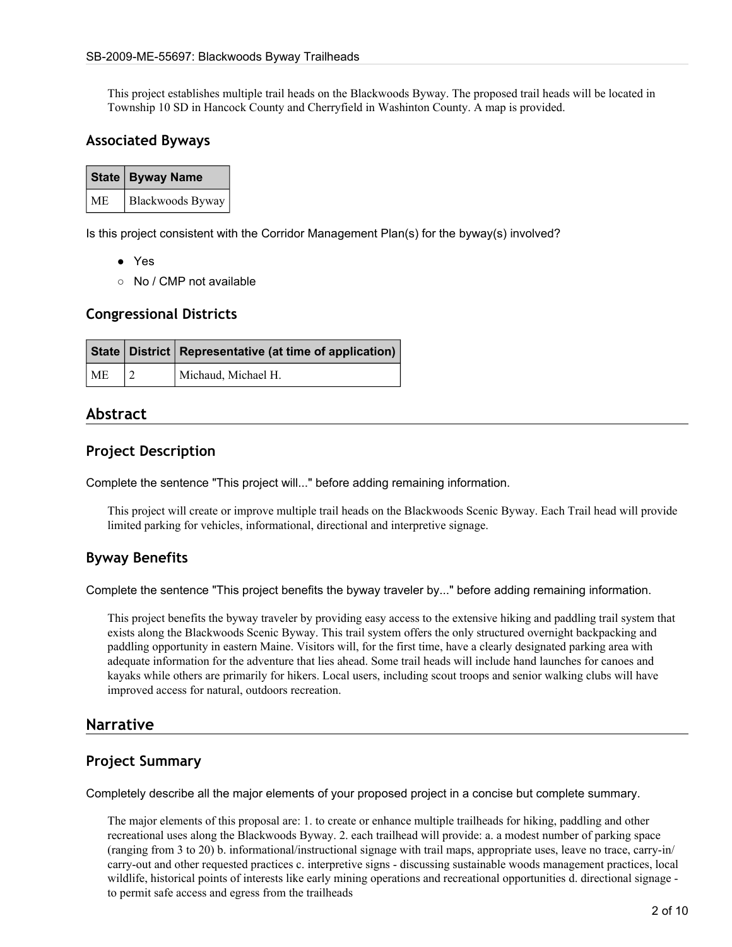This project establishes multiple trail heads on the Blackwoods Byway. The proposed trail heads will be located in Township 10 SD in Hancock County and Cherryfield in Washinton County. A map is provided.

#### **Associated Byways**

|           | State   Byway Name |
|-----------|--------------------|
| <b>ME</b> | Blackwoods Byway   |

Is this project consistent with the Corridor Management Plan(s) for the byway(s) involved?

- Yes
- No / CMP not available

#### **Congressional Districts**

|    | State   District   Representative (at time of application) |  |
|----|------------------------------------------------------------|--|
| ME | Michaud, Michael H.                                        |  |

#### **Abstract**

#### **Project Description**

Complete the sentence "This project will..." before adding remaining information.

This project will create or improve multiple trail heads on the Blackwoods Scenic Byway. Each Trail head will provide limited parking for vehicles, informational, directional and interpretive signage.

#### **Byway Benefits**

Complete the sentence "This project benefits the byway traveler by..." before adding remaining information.

This project benefits the byway traveler by providing easy access to the extensive hiking and paddling trail system that exists along the Blackwoods Scenic Byway. This trail system offers the only structured overnight backpacking and paddling opportunity in eastern Maine. Visitors will, for the first time, have a clearly designated parking area with adequate information for the adventure that lies ahead. Some trail heads will include hand launches for canoes and kayaks while others are primarily for hikers. Local users, including scout troops and senior walking clubs will have improved access for natural, outdoors recreation.

#### **Narrative**

#### **Project Summary**

Completely describe all the major elements of your proposed project in a concise but complete summary.

The major elements of this proposal are: 1. to create or enhance multiple trailheads for hiking, paddling and other recreational uses along the Blackwoods Byway. 2. each trailhead will provide: a. a modest number of parking space (ranging from 3 to 20) b. informational/instructional signage with trail maps, appropriate uses, leave no trace, carry-in/ carry-out and other requested practices c. interpretive signs - discussing sustainable woods management practices, local wildlife, historical points of interests like early mining operations and recreational opportunities d. directional signage to permit safe access and egress from the trailheads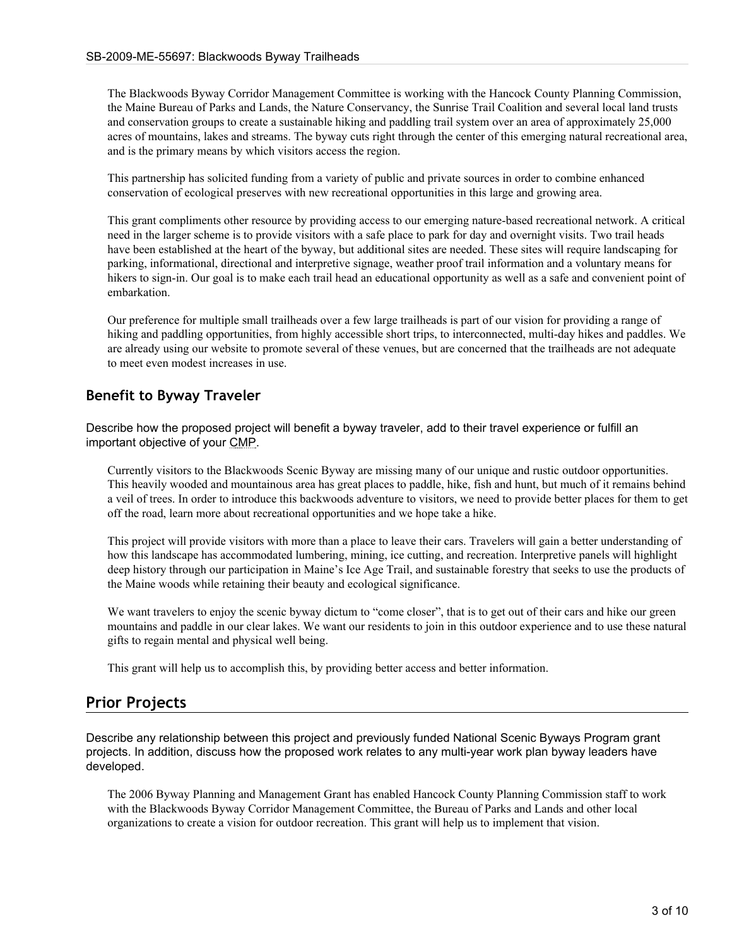The Blackwoods Byway Corridor Management Committee is working with the Hancock County Planning Commission, the Maine Bureau of Parks and Lands, the Nature Conservancy, the Sunrise Trail Coalition and several local land trusts and conservation groups to create a sustainable hiking and paddling trail system over an area of approximately 25,000 acres of mountains, lakes and streams. The byway cuts right through the center of this emerging natural recreational area, and is the primary means by which visitors access the region.

This partnership has solicited funding from a variety of public and private sources in order to combine enhanced conservation of ecological preserves with new recreational opportunities in this large and growing area.

This grant compliments other resource by providing access to our emerging nature-based recreational network. A critical need in the larger scheme is to provide visitors with a safe place to park for day and overnight visits. Two trail heads have been established at the heart of the byway, but additional sites are needed. These sites will require landscaping for parking, informational, directional and interpretive signage, weather proof trail information and a voluntary means for hikers to sign-in. Our goal is to make each trail head an educational opportunity as well as a safe and convenient point of embarkation.

Our preference for multiple small trailheads over a few large trailheads is part of our vision for providing a range of hiking and paddling opportunities, from highly accessible short trips, to interconnected, multi-day hikes and paddles. We are already using our website to promote several of these venues, but are concerned that the trailheads are not adequate to meet even modest increases in use.

#### **Benefit to Byway Traveler**

Describe how the proposed project will benefit a byway traveler, add to their travel experience or fulfill an important objective of your CMP.

Currently visitors to the Blackwoods Scenic Byway are missing many of our unique and rustic outdoor opportunities. This heavily wooded and mountainous area has great places to paddle, hike, fish and hunt, but much of it remains behind a veil of trees. In order to introduce this backwoods adventure to visitors, we need to provide better places for them to get off the road, learn more about recreational opportunities and we hope take a hike.

This project will provide visitors with more than a place to leave their cars. Travelers will gain a better understanding of how this landscape has accommodated lumbering, mining, ice cutting, and recreation. Interpretive panels will highlight deep history through our participation in Maine's Ice Age Trail, and sustainable forestry that seeks to use the products of the Maine woods while retaining their beauty and ecological significance.

We want travelers to enjoy the scenic byway dictum to "come closer", that is to get out of their cars and hike our green mountains and paddle in our clear lakes. We want our residents to join in this outdoor experience and to use these natural gifts to regain mental and physical well being.

This grant will help us to accomplish this, by providing better access and better information.

#### **Prior Projects**

Describe any relationship between this project and previously funded National Scenic Byways Program grant projects. In addition, discuss how the proposed work relates to any multi-year work plan byway leaders have developed.

The 2006 Byway Planning and Management Grant has enabled Hancock County Planning Commission staff to work with the Blackwoods Byway Corridor Management Committee, the Bureau of Parks and Lands and other local organizations to create a vision for outdoor recreation. This grant will help us to implement that vision.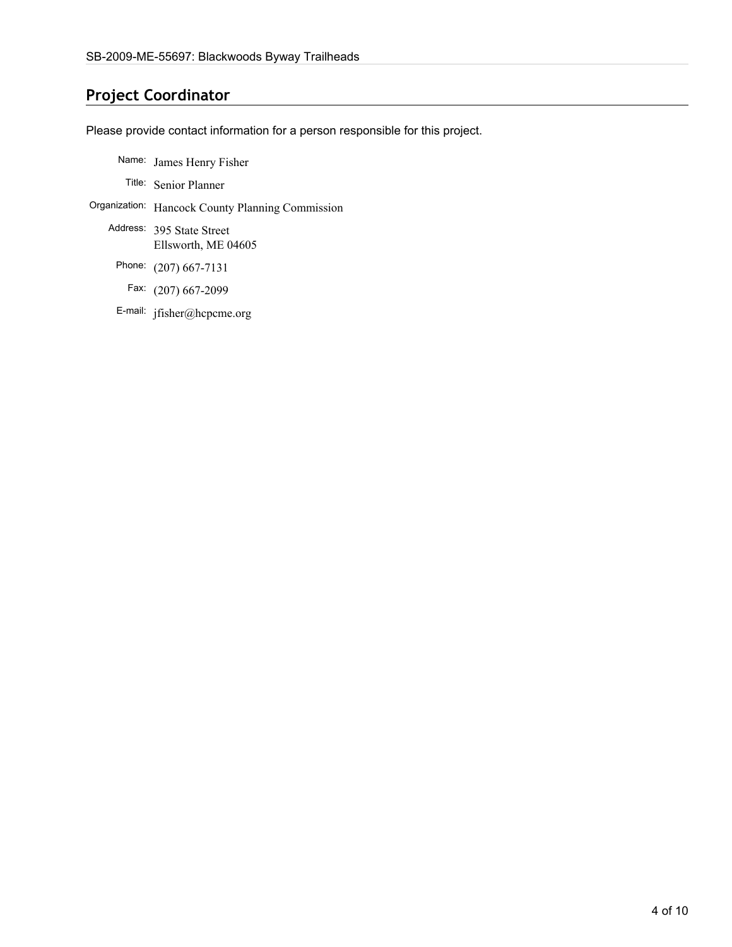### **Project Coordinator**

Please provide contact information for a person responsible for this project.

- Name: James Henry Fisher
	- Title: Senior Planner
- Organization: Hancock County Planning Commission
	- Address: 395 State Street Ellsworth, ME 04605
		- Phone: (207) 667-7131
		- Fax: (207) 667-2099
		- E-mail: jfisher@hcpcme.org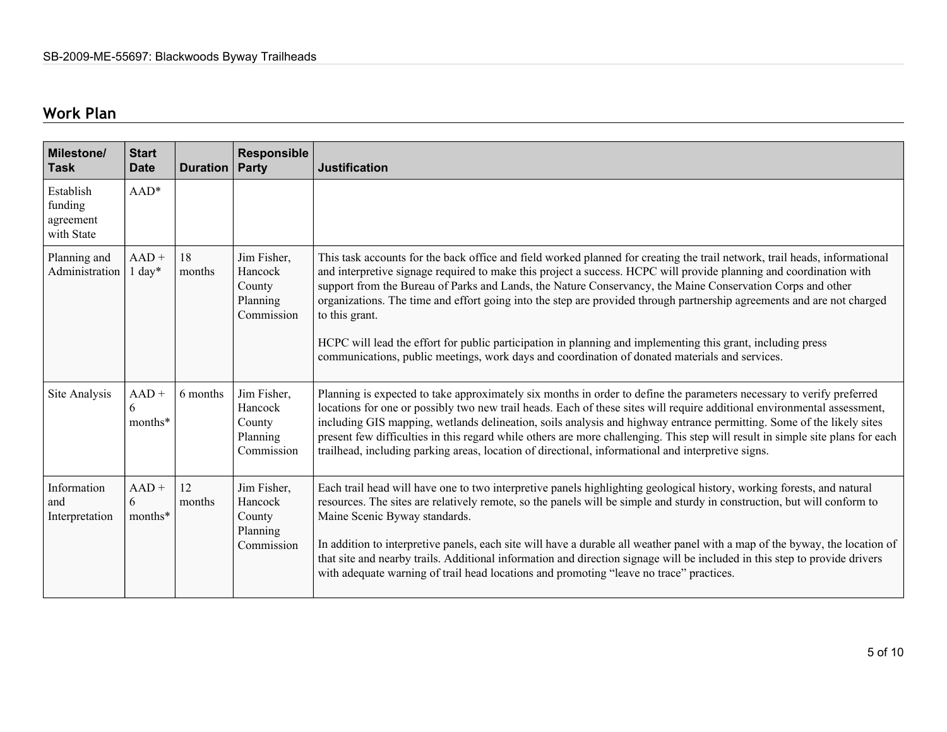## **Work Plan**

| Milestone/<br><b>Task</b>                       | <b>Start</b><br><b>Date</b>  | <b>Duration</b> | <b>Responsible</b><br>Party                                | <b>Justification</b>                                                                                                                                                                                                                                                                                                                                                                                                                                                                                                                                                                                                                                                                                                        |
|-------------------------------------------------|------------------------------|-----------------|------------------------------------------------------------|-----------------------------------------------------------------------------------------------------------------------------------------------------------------------------------------------------------------------------------------------------------------------------------------------------------------------------------------------------------------------------------------------------------------------------------------------------------------------------------------------------------------------------------------------------------------------------------------------------------------------------------------------------------------------------------------------------------------------------|
| Establish<br>funding<br>agreement<br>with State | AAD*                         |                 |                                                            |                                                                                                                                                                                                                                                                                                                                                                                                                                                                                                                                                                                                                                                                                                                             |
| Planning and<br>Administration                  | $AAD +$<br>$1 \text{ day}^*$ | 18<br>months    | Jim Fisher,<br>Hancock<br>County<br>Planning<br>Commission | This task accounts for the back office and field worked planned for creating the trail network, trail heads, informational<br>and interpretive signage required to make this project a success. HCPC will provide planning and coordination with<br>support from the Bureau of Parks and Lands, the Nature Conservancy, the Maine Conservation Corps and other<br>organizations. The time and effort going into the step are provided through partnership agreements and are not charged<br>to this grant.<br>HCPC will lead the effort for public participation in planning and implementing this grant, including press<br>communications, public meetings, work days and coordination of donated materials and services. |
| Site Analysis                                   | $AAD +$<br>6<br>months*      | 6 months        | Jim Fisher,<br>Hancock<br>County<br>Planning<br>Commission | Planning is expected to take approximately six months in order to define the parameters necessary to verify preferred<br>locations for one or possibly two new trail heads. Each of these sites will require additional environmental assessment,<br>including GIS mapping, wetlands delineation, soils analysis and highway entrance permitting. Some of the likely sites<br>present few difficulties in this regard while others are more challenging. This step will result in simple site plans for each<br>trailhead, including parking areas, location of directional, informational and interpretive signs.                                                                                                          |
| Information<br>and<br>Interpretation            | $AAD +$<br>6<br>months*      | 12<br>months    | Jim Fisher,<br>Hancock<br>County<br>Planning<br>Commission | Each trail head will have one to two interpretive panels highlighting geological history, working forests, and natural<br>resources. The sites are relatively remote, so the panels will be simple and sturdy in construction, but will conform to<br>Maine Scenic Byway standards.<br>In addition to interpretive panels, each site will have a durable all weather panel with a map of the byway, the location of<br>that site and nearby trails. Additional information and direction signage will be included in this step to provide drivers<br>with adequate warning of trail head locations and promoting "leave no trace" practices.                                                                                |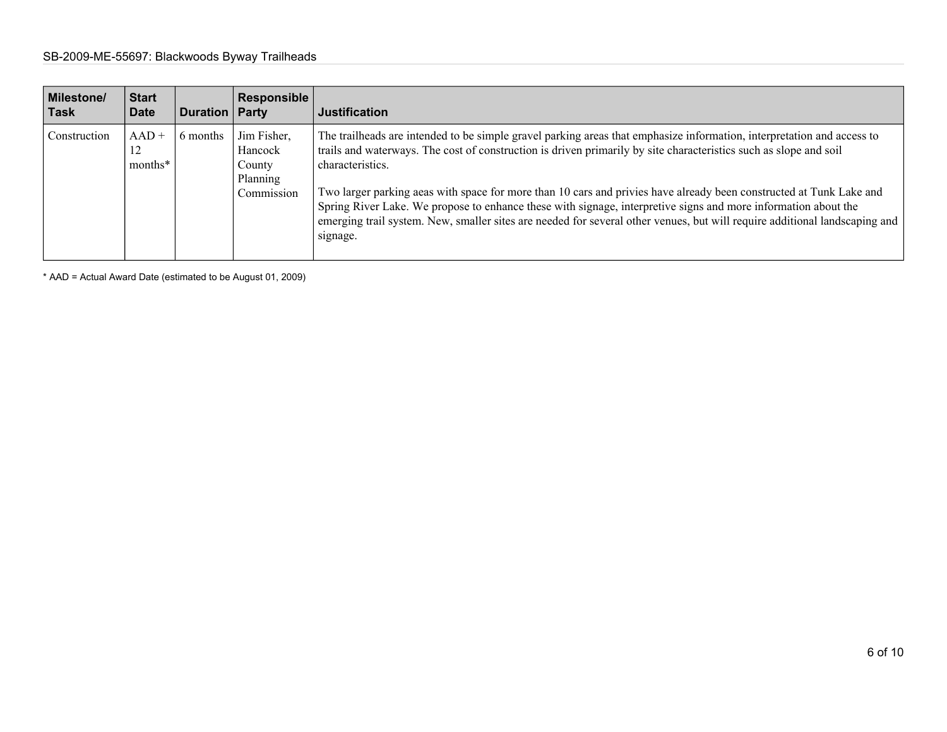| <b>Milestone/</b><br>Task | <b>Start</b><br><b>Date</b> | <b>Duration Party</b> | Responsible                                                | <b>Justification</b>                                                                                                                                                                                                                                                                                                                                                                                                                                                                                                                                                                                                                               |
|---------------------------|-----------------------------|-----------------------|------------------------------------------------------------|----------------------------------------------------------------------------------------------------------------------------------------------------------------------------------------------------------------------------------------------------------------------------------------------------------------------------------------------------------------------------------------------------------------------------------------------------------------------------------------------------------------------------------------------------------------------------------------------------------------------------------------------------|
| Construction              | $AAD +$<br>12<br>months*    | 6 months              | Jim Fisher,<br>Hancock<br>County<br>Planning<br>Commission | The trailheads are intended to be simple gravel parking areas that emphasize information, interpretation and access to<br>trails and waterways. The cost of construction is driven primarily by site characteristics such as slope and soil<br>characteristics.<br>Two larger parking aeas with space for more than 10 cars and privies have already been constructed at Tunk Lake and<br>Spring River Lake. We propose to enhance these with signage, interpretive signs and more information about the<br>emerging trail system. New, smaller sites are needed for several other venues, but will require additional landscaping and<br>signage. |

\* AAD = Actual Award Date (estimated to be August 01, 2009)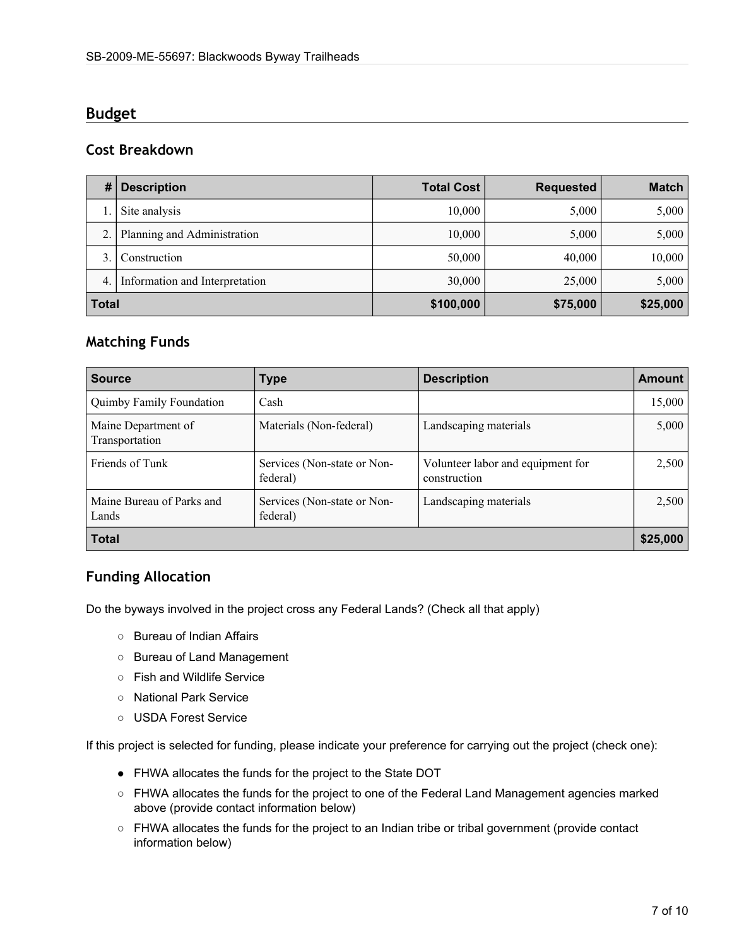#### **Budget**

#### **Cost Breakdown**

| #            | <b>Description</b>             | <b>Total Cost</b> | <b>Requested</b> | <b>Match</b> |
|--------------|--------------------------------|-------------------|------------------|--------------|
|              | Site analysis                  | 10,000            | 5,000            | 5,000        |
|              | Planning and Administration    | 10,000            | 5,000            | 5,000        |
|              | Construction                   | 50,000            | 40,000           | 10,000       |
| 4.           | Information and Interpretation | 30,000            | 25,000           | 5,000        |
| <b>Total</b> |                                | \$100,000         | \$75,000         | \$25,000     |

#### **Matching Funds**

| <b>Source</b>                         | <b>Type</b>                             | <b>Description</b>                                | <b>Amount</b> |
|---------------------------------------|-----------------------------------------|---------------------------------------------------|---------------|
| Quimby Family Foundation              | Cash                                    |                                                   | 15,000        |
| Maine Department of<br>Transportation | Materials (Non-federal)                 | Landscaping materials                             | 5,000         |
| Friends of Tunk                       | Services (Non-state or Non-<br>federal) | Volunteer labor and equipment for<br>construction | 2,500         |
| Maine Bureau of Parks and<br>Lands    | Services (Non-state or Non-<br>federal) | Landscaping materials                             | 2,500         |
| <b>Total</b>                          |                                         |                                                   | \$25,000      |

#### **Funding Allocation**

Do the byways involved in the project cross any Federal Lands? (Check all that apply)

- Bureau of Indian Affairs
- Bureau of Land Management
- Fish and Wildlife Service
- National Park Service
- USDA Forest Service

If this project is selected for funding, please indicate your preference for carrying out the project (check one):

- FHWA allocates the funds for the project to the State DOT
- FHWA allocates the funds for the project to one of the Federal Land Management agencies marked above (provide contact information below)
- FHWA allocates the funds for the project to an Indian tribe or tribal government (provide contact information below)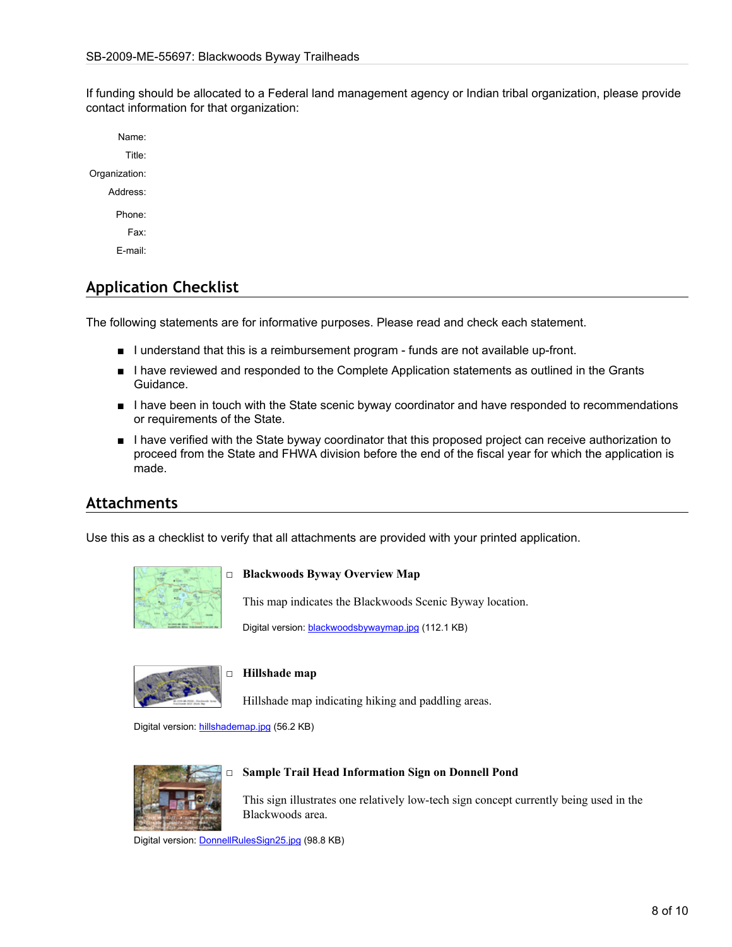If funding should be allocated to a Federal land management agency or Indian tribal organization, please provide contact information for that organization:

Name: Title: Organization: Address: Phone: Fax: E-mail:

## **Application Checklist**

The following statements are for informative purposes. Please read and check each statement.

- I understand that this is a reimbursement program funds are not available up-front.
- I have reviewed and responded to the Complete Application statements as outlined in the Grants Guidance.
- I have been in touch with the State scenic byway coordinator and have responded to recommendations or requirements of the State.
- I have verified with the State byway coordinator that this proposed project can receive authorization to proceed from the State and FHWA division before the end of the fiscal year for which the application is made.

#### **Attachments**

Use this as a checklist to verify that all attachments are provided with your printed application.



#### □ **Blackwoods Byway Overview Map**

This map indicates the Blackwoods Scenic Byway location.

Digital version: [blackwoodsbywaymap.jpg](http://www.bywaysonline.org/grants/application/attachments/10815_oms8xsp5xb.jpg) (112.1 KB)



#### □ **Hillshade map**

Hillshade map indicating hiking and paddling areas.

Digital version: [hillshademap.jpg](http://www.bywaysonline.org/grants/application/attachments/10813_4t3lvqbcjd.jpg) (56.2 KB)



#### □ **Sample Trail Head Information Sign on Donnell Pond**

This sign illustrates one relatively low-tech sign concept currently being used in the Blackwoods area.

Digital version: [DonnellRulesSign25.jpg](http://www.bywaysonline.org/grants/application/attachments/10812_dpfkdd2vb3.jpg) (98.8 KB)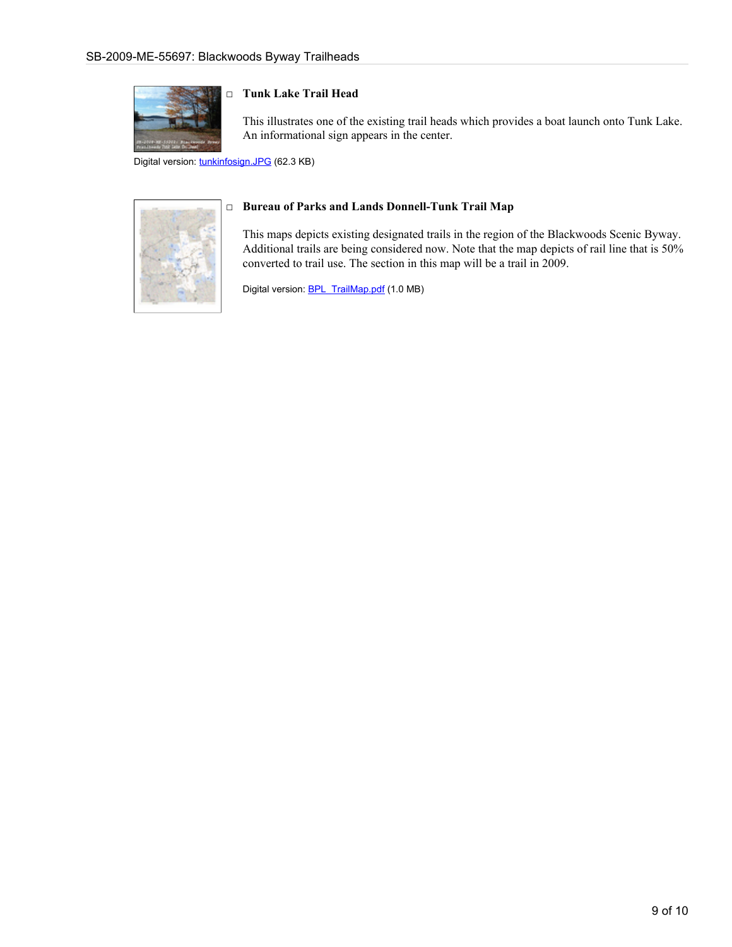

#### □ **Tunk Lake Trail Head**

This illustrates one of the existing trail heads which provides a boat launch onto Tunk Lake. An informational sign appears in the center.

Digital version: [tunkinfosign.JPG](http://www.bywaysonline.org/grants/application/attachments/10814_xvwhez0gtz.JPG) (62.3 KB)



#### □ **Bureau of Parks and Lands Donnell-Tunk Trail Map**

This maps depicts existing designated trails in the region of the Blackwoods Scenic Byway. Additional trails are being considered now. Note that the map depicts of rail line that is 50% converted to trail use. The section in this map will be a trail in 2009.

Digital version: [BPL\\_TrailMap.pdf](http://www.bywaysonline.org/grants/application/attachments/11208_nko2i9a64s.pdf) (1.0 MB)